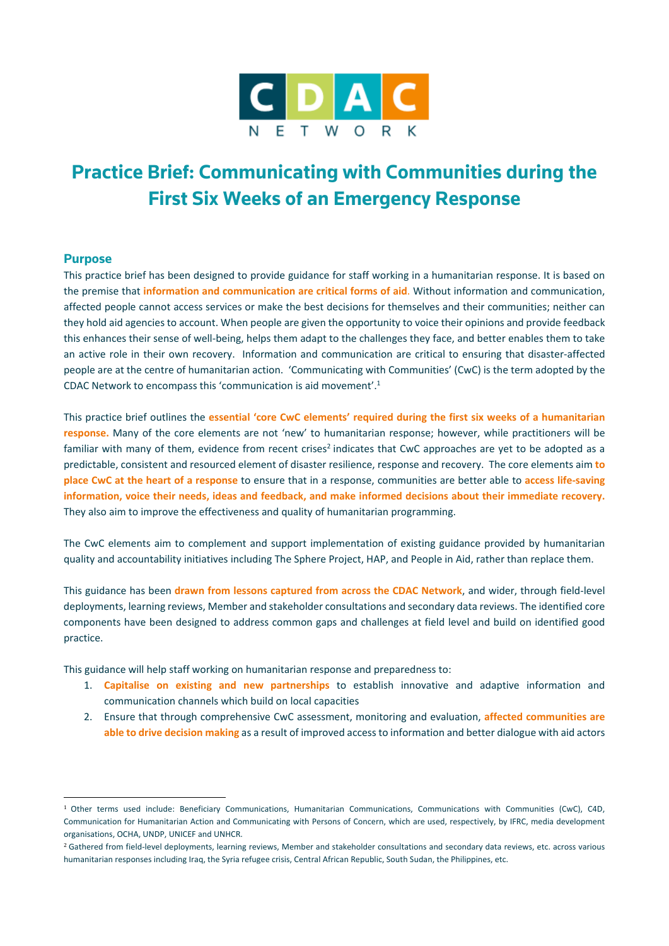

# **Practice Brief: Communicating with Communities during the First Six Weeks of an Emergency Response**

### **Purpose**

This practice brief has been designed to provide guidance for staff working in a humanitarian response. It is based on the premise that **information and communication are critical forms of aid**. Without information and communication, affected people cannot access services or make the best decisions for themselves and their communities; neither can they hold aid agencies to account. When people are given the opportunity to voice their opinions and provide feedback this enhances their sense of well-being, helps them adapt to the challenges they face, and better enables them to take an active role in their own recovery. Information and communication are critical to ensuring that disaster-affected people are at the centre of humanitarian action. 'Communicating with Communities' (CwC) is the term adopted by the CDAC Network to encompass this 'communication is aid movement'.<sup>1</sup>

This practice brief outlines the **essential 'core CwC elements' required during the first six weeks of a humanitarian response.** Many of the core elements are not 'new' to humanitarian response; however, while practitioners will be familiar with many of them, evidence from recent crises<sup>2</sup> indicates that CwC approaches are yet to be adopted as a predictable, consistent and resourced element of disaster resilience, response and recovery. The core elements aim **to place CwC at the heart of a response** to ensure that in a response, communities are better able to **access life‐saving** information, voice their needs, ideas and feedback, and make informed decisions about their immediate recovery. They also aim to improve the effectiveness and quality of humanitarian programming.

The CwC elements aim to complement and support implementation of existing guidance provided by humanitarian quality and accountability initiatives including The Sphere Project, HAP, and People in Aid, rather than replace them.

This guidance has been **drawn from lessons captured from across the CDAC Network**, and wider, through field‐level deployments, learning reviews, Member and stakeholder consultations and secondary data reviews. The identified core components have been designed to address common gaps and challenges at field level and build on identified good practice.

This guidance will help staff working on humanitarian response and preparedness to:

 

- 1. **Capitalise on existing and new partnerships** to establish innovative and adaptive information and communication channels which build on local capacities
- 2. Ensure that through comprehensive CwC assessment, monitoring and evaluation, **affected communities are able to drive decision making** as a result of improved accessto information and better dialogue with aid actors

<sup>1</sup> Other terms used include: Beneficiary Communications, Humanitarian Communications, Communications with Communities (CwC), C4D, Communication for Humanitarian Action and Communicating with Persons of Concern, which are used, respectively, by IFRC, media development organisations, OCHA, UNDP, UNICEF and UNHCR.

<sup>&</sup>lt;sup>2</sup> Gathered from field-level deployments, learning reviews, Member and stakeholder consultations and secondary data reviews, etc. across various humanitarian responses including Iraq, the Syria refugee crisis, Central African Republic, South Sudan, the Philippines, etc.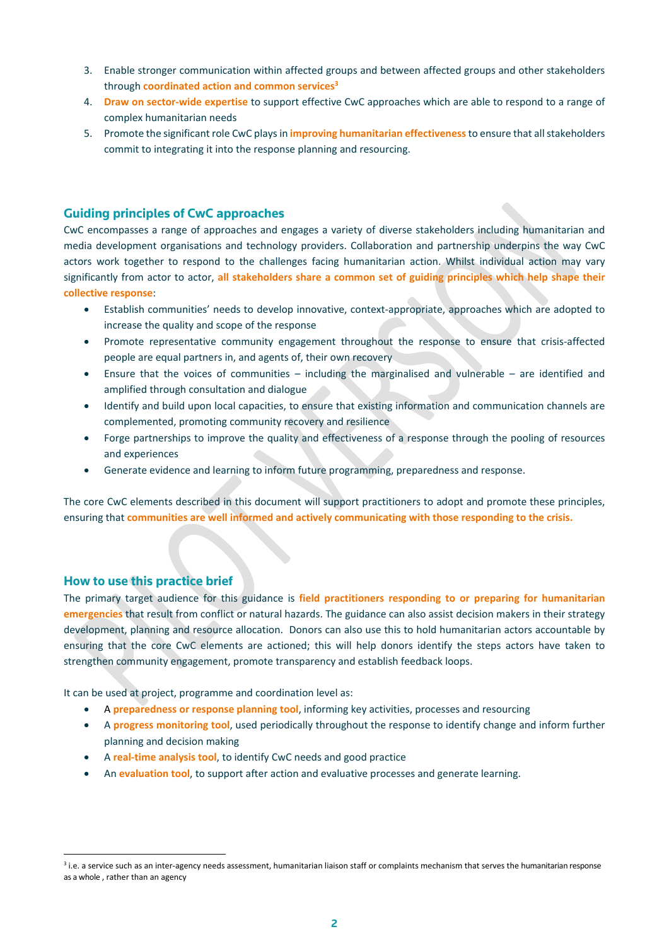- 3. Enable stronger communication within affected groups and between affected groups and other stakeholders through **coordinated action and common services3**
- 4. **Draw on sector‐wide expertise** to support effective CwC approaches which are able to respond to a range of complex humanitarian needs
- 5. Promote the significant role CwC playsin **improving humanitarian effectiveness**to ensure that allstakeholders commit to integrating it into the response planning and resourcing.

## **Guiding principles of CwC approaches**

CwC encompasses a range of approaches and engages a variety of diverse stakeholders including humanitarian and media development organisations and technology providers. Collaboration and partnership underpins the way CwC actors work together to respond to the challenges facing humanitarian action. Whilst individual action may vary significantly from actor to actor, **all stakeholders share a common set of guiding principles which help shape their collective response**:

- Establish communities' needs to develop innovative, context‐appropriate, approaches which are adopted to increase the quality and scope of the response
- Promote representative community engagement throughout the response to ensure that crisis-affected people are equal partners in, and agents of, their own recovery
- Ensure that the voices of communities including the marginalised and vulnerable are identified and amplified through consultation and dialogue
- Identify and build upon local capacities, to ensure that existing information and communication channels are complemented, promoting community recovery and resilience
- Forge partnerships to improve the quality and effectiveness of a response through the pooling of resources and experiences
- Generate evidence and learning to inform future programming, preparedness and response.

The core CwC elements described in this document will support practitioners to adopt and promote these principles, ensuring that **communities are well informed and actively communicating with those responding to the crisis.**

## **How to use this practice brief**

 

The primary target audience for this guidance is **field practitioners responding to or preparing for humanitarian emergencies** that result from conflict or natural hazards. The guidance can also assist decision makers in their strategy development, planning and resource allocation. Donors can also use this to hold humanitarian actors accountable by ensuring that the core CwC elements are actioned; this will help donors identify the steps actors have taken to strengthen community engagement, promote transparency and establish feedback loops.

It can be used at project, programme and coordination level as:

- A **preparedness or response planning tool**, informing key activities, processes and resourcing
- A **progress monitoring tool**, used periodically throughout the response to identify change and inform further planning and decision making
- A **real‐time analysis tool**, to identify CwC needs and good practice
- An **evaluation tool**, to support after action and evaluative processes and generate learning.

<sup>&</sup>lt;sup>3</sup> i.e. a service such as an inter-agency needs assessment, humanitarian liaison staff or complaints mechanism that serves the humanitarian response as a whole , rather than an agency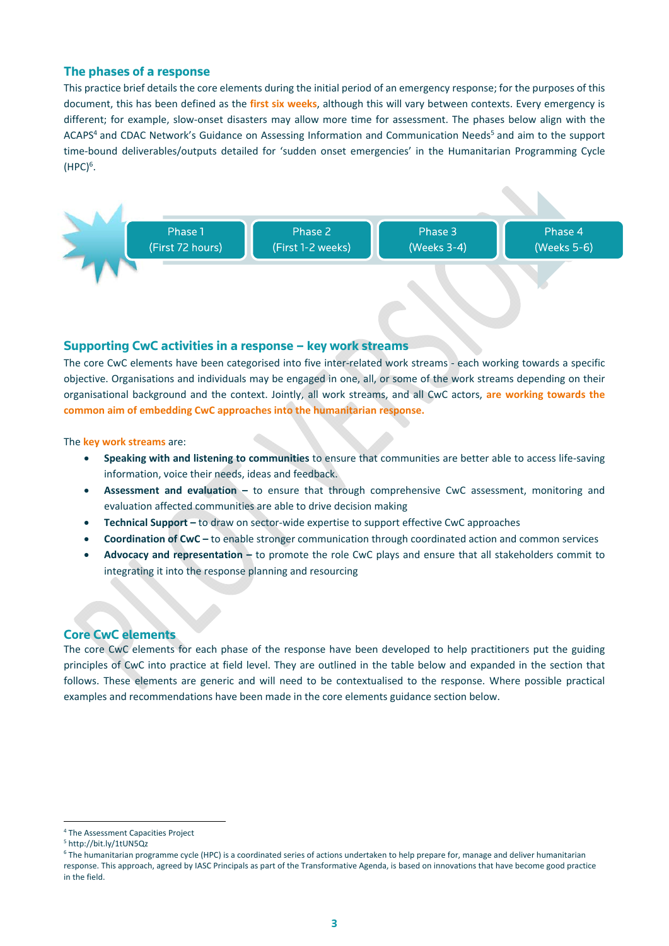## **The phases of a response**

This practice brief details the core elements during the initial period of an emergency response; for the purposes of this document, this has been defined as the **first six weeks**, although this will vary between contexts. Every emergency is different; for example, slow‐onset disasters may allow more time for assessment. The phases below align with the ACAPS<sup>4</sup> and CDAC Network's Guidance on Assessing Information and Communication Needs<sup>5</sup> and aim to the support time‐bound deliverables/outputs detailed for 'sudden onset emergencies' in the Humanitarian Programming Cycle  $( {\sf HPC})^6.$ 



#### **Supporting CwC activities in a response – key work streams**

The core CwC elements have been categorised into five inter-related work streams - each working towards a specific objective. Organisations and individuals may be engaged in one, all, or some of the work streams depending on their organisational background and the context. Jointly, all work streams, and all CwC actors, **are working towards the common aim of embedding CwC approaches into the humanitarian response.** 

The **key work streams** are:

- **Speaking with and listening to communities** to ensure that communities are better able to access life‐saving information, voice their needs, ideas and feedback.
- **Assessment and evaluation –** to ensure that through comprehensive CwC assessment, monitoring and evaluation affected communities are able to drive decision making
- **•** Technical Support to draw on sector-wide expertise to support effective CwC approaches
- **Coordination of CwC –** to enable stronger communication through coordinated action and common services
- **Advocacy and representation –** to promote the role CwC plays and ensure that all stakeholders commit to integrating it into the response planning and resourcing

## **Core CwC elements**

The core CwC elements for each phase of the response have been developed to help practitioners put the guiding principles of CwC into practice at field level. They are outlined in the table below and expanded in the section that follows. These elements are generic and will need to be contextualised to the response. Where possible practical examples and recommendations have been made in the core elements guidance section below.

 <sup>4</sup> The Assessment Capacities Project

<sup>5</sup> http://bit.ly/1tUN5Qz

<sup>&</sup>lt;sup>6</sup> The humanitarian programme cycle (HPC) is a coordinated series of actions undertaken to help prepare for, manage and deliver humanitarian response. This approach, agreed by IASC Principals as part of the Transformative Agenda, is based on innovations that have become good practice in the field.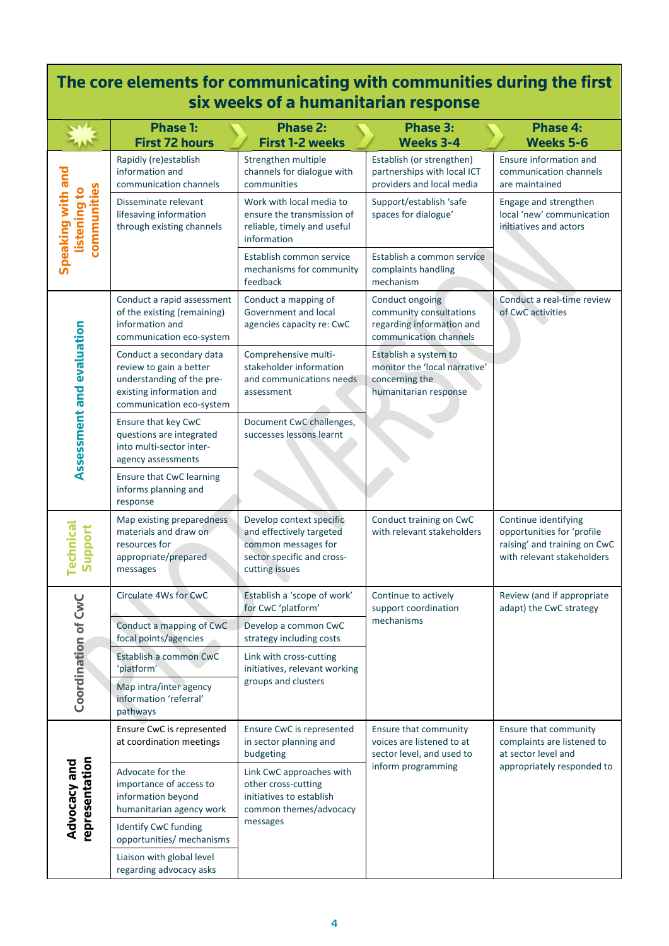| The core elements for communicating with communities during the first<br>six weeks of a humanitarian response |                                                                                                                                          |                                                                                                                             |                                                                                                       |                                                                                                                  |
|---------------------------------------------------------------------------------------------------------------|------------------------------------------------------------------------------------------------------------------------------------------|-----------------------------------------------------------------------------------------------------------------------------|-------------------------------------------------------------------------------------------------------|------------------------------------------------------------------------------------------------------------------|
|                                                                                                               | <b>Phase 1:</b><br><b>First 72 hours</b>                                                                                                 | <b>Phase 2:</b><br><b>First 1-2 weeks</b>                                                                                   | Phase 3:<br><b>Weeks 3-4</b>                                                                          | <b>Phase 4:</b><br><b>Weeks 5-6</b>                                                                              |
| Speaking with and<br>communities<br>listening to                                                              | Rapidly (re)establish<br>information and<br>communication channels                                                                       | Strengthen multiple<br>channels for dialogue with<br>communities                                                            | Establish (or strengthen)<br>partnerships with local ICT<br>providers and local media                 | Ensure information and<br>communication channels<br>are maintained                                               |
|                                                                                                               | Disseminate relevant<br>lifesaving information<br>through existing channels                                                              | Work with local media to<br>ensure the transmission of<br>reliable, timely and useful<br>information                        | Support/establish 'safe<br>spaces for dialogue'                                                       | Engage and strengthen<br>local 'new' communication<br>initiatives and actors                                     |
|                                                                                                               |                                                                                                                                          | Establish common service<br>mechanisms for community<br>feedback                                                            | Establish a common service<br>complaints handling<br>mechanism                                        |                                                                                                                  |
| Assessment and evaluation                                                                                     | Conduct a rapid assessment<br>of the existing (remaining)<br>information and<br>communication eco-system                                 | Conduct a mapping of<br>Government and local<br>agencies capacity re: CwC                                                   | Conduct ongoing<br>community consultations<br>regarding information and<br>communication channels     | Conduct a real-time review<br>of CwC activities                                                                  |
|                                                                                                               | Conduct a secondary data<br>review to gain a better<br>understanding of the pre-<br>existing information and<br>communication eco-system | Comprehensive multi-<br>stakeholder information<br>and communications needs<br>assessment                                   | Establish a system to<br>monitor the 'local narrative'<br>concerning the<br>humanitarian response     |                                                                                                                  |
|                                                                                                               | Ensure that key CwC<br>questions are integrated<br>into multi-sector inter-<br>agency assessments                                        | Document CwC challenges,<br>successes lessons learnt                                                                        |                                                                                                       |                                                                                                                  |
|                                                                                                               | Ensure that CwC learning<br>informs planning and<br>response                                                                             |                                                                                                                             |                                                                                                       |                                                                                                                  |
| <b>Technical</b><br>Support                                                                                   | Map existing preparedness<br>materials and draw on<br>resources for<br>appropriate/prepared<br>messages                                  | Develop context specific<br>and effectively targeted<br>common messages for<br>sector specific and cross-<br>cutting issues | Conduct training on CwC<br>with relevant stakeholders                                                 | Continue identifying<br>opportunities for 'profile<br>raising' and training on CwC<br>with relevant stakeholders |
| Coordination of CwC                                                                                           | Circulate 4Ws for CwC                                                                                                                    | Establish a 'scope of work'<br>for CwC 'platform'                                                                           | Continue to actively<br>support coordination<br>mechanisms                                            | Review (and if appropriate<br>adapt) the CwC strategy                                                            |
|                                                                                                               | Conduct a mapping of CwC<br>focal points/agencies                                                                                        | Develop a common CwC<br>strategy including costs                                                                            |                                                                                                       |                                                                                                                  |
|                                                                                                               | Establish a common CwC<br>'platform'                                                                                                     | Link with cross-cutting<br>initiatives, relevant working<br>groups and clusters                                             |                                                                                                       |                                                                                                                  |
|                                                                                                               | Map intra/inter agency<br>information 'referral'<br>pathways                                                                             |                                                                                                                             |                                                                                                       |                                                                                                                  |
| representation<br>Advocacy and                                                                                | Ensure CwC is represented<br>at coordination meetings                                                                                    | Ensure CwC is represented<br>in sector planning and<br>budgeting                                                            | Ensure that community<br>voices are listened to at<br>sector level, and used to<br>inform programming | Ensure that community<br>complaints are listened to<br>at sector level and<br>appropriately responded to         |
|                                                                                                               | Advocate for the<br>importance of access to<br>information beyond<br>humanitarian agency work                                            | Link CwC approaches with<br>other cross-cutting<br>initiatives to establish<br>common themes/advocacy<br>messages           |                                                                                                       |                                                                                                                  |
|                                                                                                               | Identify CwC funding<br>opportunities/ mechanisms                                                                                        |                                                                                                                             |                                                                                                       |                                                                                                                  |
|                                                                                                               | Liaison with global level<br>regarding advocacy asks                                                                                     |                                                                                                                             |                                                                                                       |                                                                                                                  |

 $\mathsf{r}$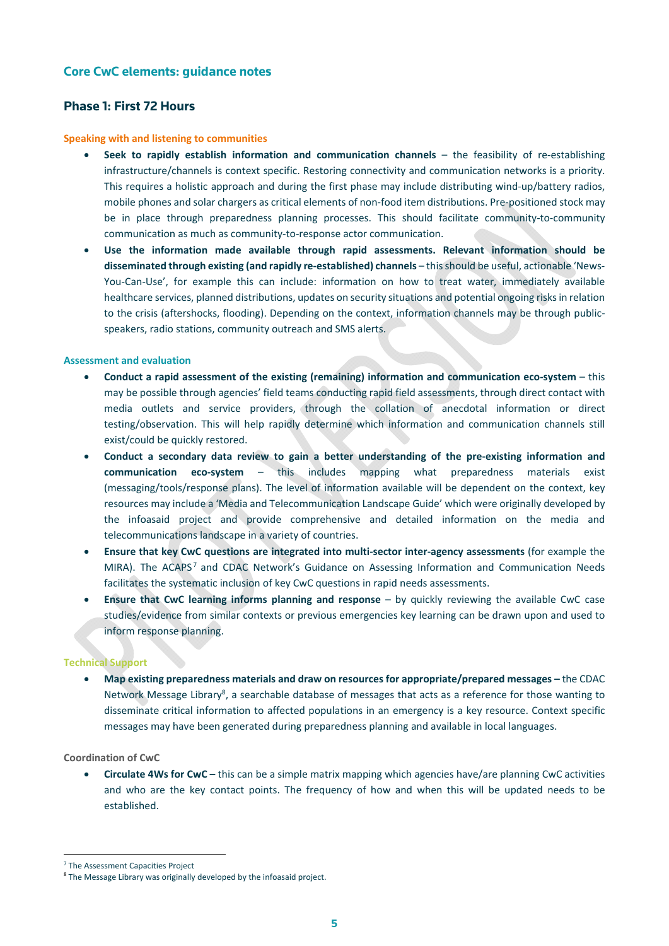## **Core CwC elements: guidance notes**

# **Phase 1: First 72 Hours**

#### **Speaking with and listening to communities**

- **Seek to rapidly establish information and communication channels** the feasibility of re‐establishing infrastructure/channels is context specific. Restoring connectivity and communication networks is a priority. This requires a holistic approach and during the first phase may include distributing wind‐up/battery radios, mobile phones and solar chargers as critical elements of non‐food item distributions. Pre‐positioned stock may be in place through preparedness planning processes. This should facilitate community-to-community communication as much as community‐to‐response actor communication.
- **Use the information made available through rapid assessments. Relevant information should be disseminated through existing (and rapidly re‐established) channels** – thisshould be useful, actionable 'News‐ You-Can-Use', for example this can include: information on how to treat water, immediately available healthcare services, planned distributions, updates on security situations and potential ongoing risks in relation to the crisis (aftershocks, flooding). Depending on the context, information channels may be through publicspeakers, radio stations, community outreach and SMS alerts.

#### **Assessment and evaluation**

- **Conduct a rapid assessment of the existing (remaining) information and communication eco‐system** this may be possible through agencies' field teams conducting rapid field assessments, through direct contact with media outlets and service providers, through the collation of anecdotal information or direct testing/observation. This will help rapidly determine which information and communication channels still exist/could be quickly restored.
- **Conduct a secondary data review to gain a better understanding of the pre‐existing information and communication eco-system** – this includes mapping what preparedness materials exist (messaging/tools/response plans). The level of information available will be dependent on the context, key resources may include a 'Media and Telecommunication Landscape Guide' which were originally developed by the infoasaid project and provide comprehensive and detailed information on the media and telecommunications landscape in a variety of countries.
- **Ensure that key CwC questions are integrated into multi‐sector inter‐agency assessments** (for example the MIRA). The ACAPS<sup>7</sup> and CDAC Network's Guidance on Assessing Information and Communication Needs facilitates the systematic inclusion of key CwC questions in rapid needs assessments.
- **Ensure that CwC learning informs planning and response** by quickly reviewing the available CwC case studies/evidence from similar contexts or previous emergencies key learning can be drawn upon and used to inform response planning.

#### **Technical Support**

 **Map existing preparedness materials and draw on resources for appropriate/prepared messages –** the CDAC Network Message Library<sup>8</sup>, a searchable database of messages that acts as a reference for those wanting to disseminate critical information to affected populations in an emergency is a key resource. Context specific messages may have been generated during preparedness planning and available in local languages.

#### **Coordination of CwC**

 **Circulate 4Ws for CwC –** this can be a simple matrix mapping which agencies have/are planning CwC activities and who are the key contact points. The frequency of how and when this will be updated needs to be established.

 <sup>7</sup> The Assessment Capacities Project

<sup>&</sup>lt;sup>8</sup> The Message Library was originally developed by the infoasaid project.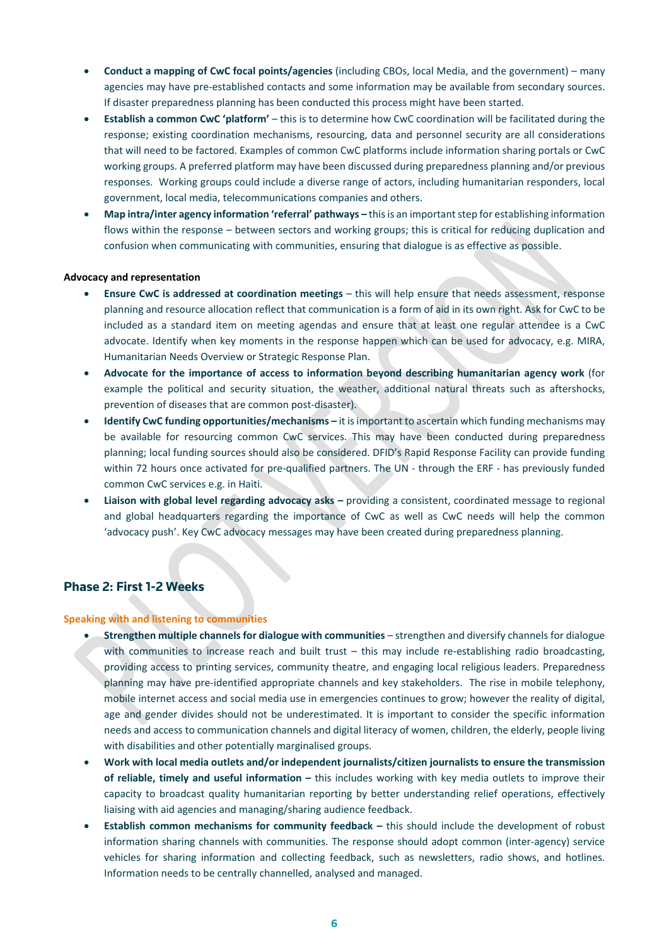- **Conduct a mapping of CwC focal points/agencies** (including CBOs, local Media, and the government) many agencies may have pre‐established contacts and some information may be available from secondary sources. If disaster preparedness planning has been conducted this process might have been started.
- **Establish a common CwC 'platform'** this is to determine how CwC coordination will be facilitated during the response; existing coordination mechanisms, resourcing, data and personnel security are all considerations that will need to be factored. Examples of common CwC platforms include information sharing portals or CwC working groups. A preferred platform may have been discussed during preparedness planning and/or previous responses. Working groups could include a diverse range of actors, including humanitarian responders, local government, local media, telecommunications companies and others.
- **Map intra/inter agency information 'referral' pathways –** thisis an importantstep for establishing information flows within the response – between sectors and working groups; this is critical for reducing duplication and confusion when communicating with communities, ensuring that dialogue is as effective as possible.

#### **Advocacy and representation**

- **Ensure CwC is addressed at coordination meetings** this will help ensure that needs assessment, response planning and resource allocation reflect that communication is a form of aid in its own right. Ask for CwC to be included as a standard item on meeting agendas and ensure that at least one regular attendee is a CwC advocate. Identify when key moments in the response happen which can be used for advocacy, e.g. MIRA, Humanitarian Needs Overview or Strategic Response Plan.
- **Advocate for the importance of access to information beyond describing humanitarian agency work** (for example the political and security situation, the weather, additional natural threats such as aftershocks, prevention of diseases that are common post-disaster).
- **Identify CwC funding opportunities/mechanisms –** it isimportant to ascertain which funding mechanisms may be available for resourcing common CwC services. This may have been conducted during preparedness planning; local funding sources should also be considered. DFID's Rapid Response Facility can provide funding within 72 hours once activated for pre-qualified partners. The UN - through the ERF - has previously funded common CwC services e.g. in Haiti.
- **Liaison with global level regarding advocacy asks –** providing a consistent, coordinated message to regional and global headquarters regarding the importance of CwC as well as CwC needs will help the common 'advocacy push'. Key CwC advocacy messages may have been created during preparedness planning.

## **Phase 2: First 1-2 Weeks**

#### **Speaking with and listening to communities**

- **Strengthen multiple channels for dialogue with communities** strengthen and diversify channels for dialogue with communities to increase reach and built trust – this may include re-establishing radio broadcasting, providing access to printing services, community theatre, and engaging local religious leaders. Preparedness planning may have pre‐identified appropriate channels and key stakeholders. The rise in mobile telephony, mobile internet access and social media use in emergencies continues to grow; however the reality of digital, age and gender divides should not be underestimated. It is important to consider the specific information needs and access to communication channels and digital literacy of women, children, the elderly, people living with disabilities and other potentially marginalised groups.
- **Work with local media outlets and/or independent journalists/citizen journalists to ensure the transmission of reliable, timely and useful information –** this includes working with key media outlets to improve their capacity to broadcast quality humanitarian reporting by better understanding relief operations, effectively liaising with aid agencies and managing/sharing audience feedback.
- **Establish common mechanisms for community feedback –** this should include the development of robust information sharing channels with communities. The response should adopt common (inter-agency) service vehicles for sharing information and collecting feedback, such as newsletters, radio shows, and hotlines. Information needs to be centrally channelled, analysed and managed.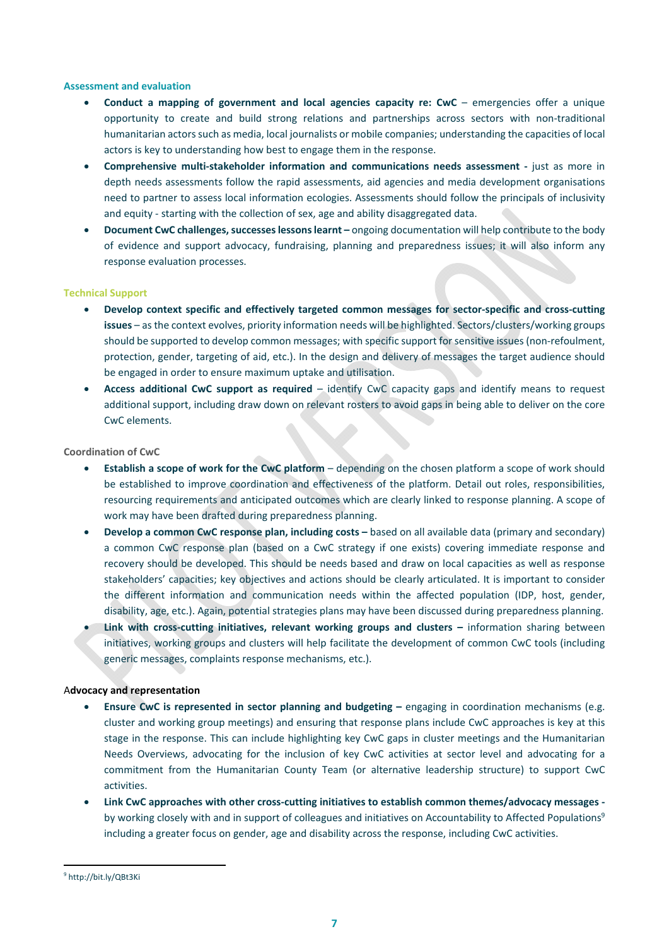#### **Assessment and evaluation**

- **Conduct a mapping of government and local agencies capacity re: CwC** emergencies offer a unique opportunity to create and build strong relations and partnerships across sectors with non‐traditional humanitarian actorssuch as media, local journalists or mobile companies; understanding the capacities of local actors is key to understanding how best to engage them in the response.
- **Comprehensive multi‐stakeholder information and communications needs assessment ‐**  just as more in depth needs assessments follow the rapid assessments, aid agencies and media development organisations need to partner to assess local information ecologies. Assessments should follow the principals of inclusivity and equity - starting with the collection of sex, age and ability disaggregated data.
- **•** Document CwC challenges, successes lessons learnt ongoing documentation will help contribute to the body of evidence and support advocacy, fundraising, planning and preparedness issues; it will also inform any response evaluation processes.

#### **Technical Support**

- **Develop context specific and effectively targeted common messages for sector‐specific and cross‐cutting issues** – as the context evolves, priority information needs will be highlighted. Sectors/clusters/working groups should be supported to develop common messages; with specific support for sensitive issues (non-refoulment, protection, gender, targeting of aid, etc.). In the design and delivery of messages the target audience should be engaged in order to ensure maximum uptake and utilisation.
- **Access additional CwC support as required** identify CwC capacity gaps and identify means to request additional support, including draw down on relevant rosters to avoid gaps in being able to deliver on the core CwC elements.

#### **Coordination of CwC**

- **Establish a scope of work for the CwC platform** depending on the chosen platform a scope of work should be established to improve coordination and effectiveness of the platform. Detail out roles, responsibilities, resourcing requirements and anticipated outcomes which are clearly linked to response planning. A scope of work may have been drafted during preparedness planning.
- **Develop a common CwC response plan, including costs –** based on all available data (primary and secondary) a common CwC response plan (based on a CwC strategy if one exists) covering immediate response and recovery should be developed. This should be needs based and draw on local capacities as well as response stakeholders' capacities; key objectives and actions should be clearly articulated. It is important to consider the different information and communication needs within the affected population (IDP, host, gender, disability, age, etc.). Again, potential strategies plans may have been discussed during preparedness planning.
- **Link with cross‐cutting initiatives, relevant working groups and clusters –** information sharing between initiatives, working groups and clusters will help facilitate the development of common CwC tools (including generic messages, complaints response mechanisms, etc.).

#### A**dvocacy and representation**

- **Ensure CwC is represented in sector planning and budgeting –** engaging in coordination mechanisms (e.g. cluster and working group meetings) and ensuring that response plans include CwC approaches is key at this stage in the response. This can include highlighting key CwC gaps in cluster meetings and the Humanitarian Needs Overviews, advocating for the inclusion of key CwC activities at sector level and advocating for a commitment from the Humanitarian County Team (or alternative leadership structure) to support CwC activities.
- **Link CwC approaches with other cross‐cutting initiatives to establish common themes/advocacy messages ‐**  by working closely with and in support of colleagues and initiatives on Accountability to Affected Populations<sup>9</sup> including a greater focus on gender, age and disability across the response, including CwC activities.

 <sup>9</sup> http://bit.ly/QBt3Ki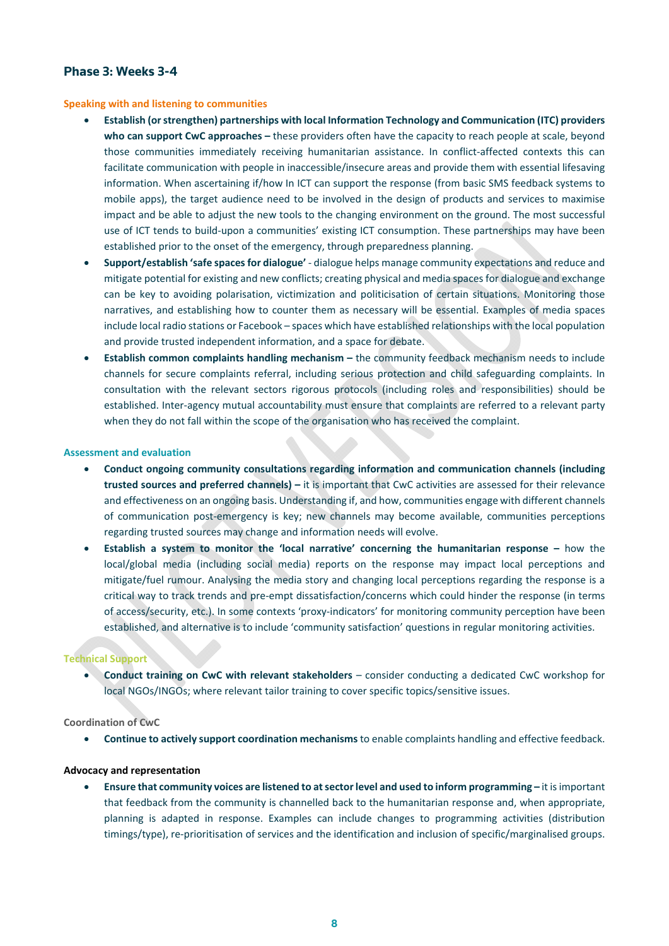## **Phase 3: Weeks 3-4**

#### **Speaking with and listening to communities**

- **Establish (orstrengthen) partnerships with local Information Technology and Communication (ITC) providers who can support CwC approaches –** these providers often have the capacity to reach people at scale, beyond those communities immediately receiving humanitarian assistance. In conflict-affected contexts this can facilitate communication with people in inaccessible/insecure areas and provide them with essential lifesaving information. When ascertaining if/how In ICT can support the response (from basic SMS feedback systems to mobile apps), the target audience need to be involved in the design of products and services to maximise impact and be able to adjust the new tools to the changing environment on the ground. The most successful use of ICT tends to build-upon a communities' existing ICT consumption. These partnerships may have been established prior to the onset of the emergency, through preparedness planning.
- **Support/establish 'safe spacesfor dialogue'** ‐ dialogue helps manage community expectations and reduce and mitigate potential for existing and new conflicts; creating physical and media spacesfor dialogue and exchange can be key to avoiding polarisation, victimization and politicisation of certain situations. Monitoring those narratives, and establishing how to counter them as necessary will be essential. Examples of media spaces include local radio stations or Facebook – spaces which have established relationships with the local population and provide trusted independent information, and a space for debate.
- **Establish common complaints handling mechanism –** the community feedback mechanism needs to include channels for secure complaints referral, including serious protection and child safeguarding complaints. In consultation with the relevant sectors rigorous protocols (including roles and responsibilities) should be established. Inter‐agency mutual accountability must ensure that complaints are referred to a relevant party when they do not fall within the scope of the organisation who has received the complaint.

#### **Assessment and evaluation**

- **Conduct ongoing community consultations regarding information and communication channels (including trusted sources and preferred channels) –** it is important that CwC activities are assessed for their relevance and effectiveness on an ongoing basis. Understanding if, and how, communities engage with different channels of communication post‐emergency is key; new channels may become available, communities perceptions regarding trusted sources may change and information needs will evolve.
- **Establish a system to monitor the 'local narrative' concerning the humanitarian response –** how the local/global media (including social media) reports on the response may impact local perceptions and mitigate/fuel rumour. Analysing the media story and changing local perceptions regarding the response is a critical way to track trends and pre‐empt dissatisfaction/concerns which could hinder the response (in terms of access/security, etc.). In some contexts 'proxy‐indicators' for monitoring community perception have been established, and alternative is to include 'community satisfaction' questions in regular monitoring activities.

#### **Technical Support**

 **Conduct training on CwC with relevant stakeholders** – consider conducting a dedicated CwC workshop for local NGOs/INGOs; where relevant tailor training to cover specific topics/sensitive issues.

#### **Coordination of CwC**

**Continue to actively support coordination mechanisms**to enable complaints handling and effective feedback.

#### **Advocacy and representation**

 **Ensure that community voices are listened to atsectorlevel and used to inform programming –** it isimportant that feedback from the community is channelled back to the humanitarian response and, when appropriate, planning is adapted in response. Examples can include changes to programming activities (distribution timings/type), re-prioritisation of services and the identification and inclusion of specific/marginalised groups.